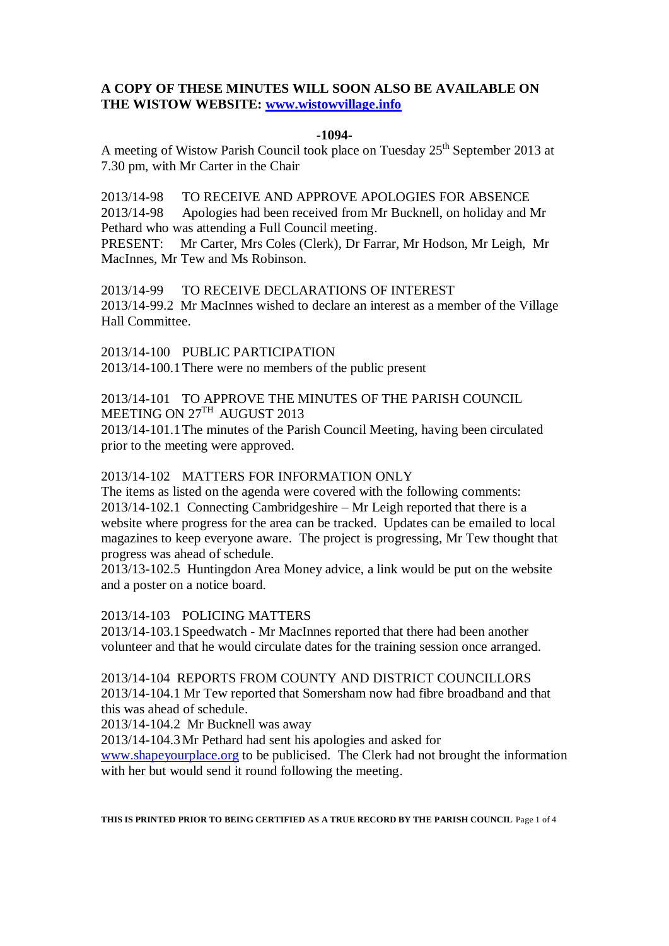# **A COPY OF THESE MINUTES WILL SOON ALSO BE AVAILABLE ON THE WISTOW WEBSITE: [www.wistowvillage.info](http://www.wistowvillage.info/)**

### **-1094-**

A meeting of Wistow Parish Council took place on Tuesday 25<sup>th</sup> September 2013 at 7.30 pm, with Mr Carter in the Chair

2013/14-98 TO RECEIVE AND APPROVE APOLOGIES FOR ABSENCE 2013/14-98 Apologies had been received from Mr Bucknell, on holiday and Mr Pethard who was attending a Full Council meeting.

PRESENT: Mr Carter, Mrs Coles (Clerk), Dr Farrar, Mr Hodson, Mr Leigh, Mr MacInnes, Mr Tew and Ms Robinson.

2013/14-99 TO RECEIVE DECLARATIONS OF INTEREST 2013/14-99.2 Mr MacInnes wished to declare an interest as a member of the Village Hall Committee.

2013/14-100 PUBLIC PARTICIPATION 2013/14-100.1There were no members of the public present

2013/14-101 TO APPROVE THE MINUTES OF THE PARISH COUNCIL MEETING ON 27<sup>TH</sup> AUGUST 2013

2013/14-101.1The minutes of the Parish Council Meeting, having been circulated prior to the meeting were approved.

## 2013/14-102 MATTERS FOR INFORMATION ONLY

The items as listed on the agenda were covered with the following comments: 2013/14-102.1 Connecting Cambridgeshire – Mr Leigh reported that there is a website where progress for the area can be tracked. Updates can be emailed to local magazines to keep everyone aware. The project is progressing, Mr Tew thought that progress was ahead of schedule.

2013/13-102.5 Huntingdon Area Money advice, a link would be put on the website and a poster on a notice board.

2013/14-103 POLICING MATTERS

2013/14-103.1Speedwatch - Mr MacInnes reported that there had been another volunteer and that he would circulate dates for the training session once arranged.

2013/14-104 REPORTS FROM COUNTY AND DISTRICT COUNCILLORS 2013/14-104.1 Mr Tew reported that Somersham now had fibre broadband and that this was ahead of schedule.

2013/14-104.2 Mr Bucknell was away

2013/14-104.3Mr Pethard had sent his apologies and asked for

[www.shapeyourplace.org](http://www.shapeyourplace.org/) to be publicised. The Clerk had not brought the information with her but would send it round following the meeting.

**THIS IS PRINTED PRIOR TO BEING CERTIFIED AS A TRUE RECORD BY THE PARISH COUNCIL** Page 1 of 4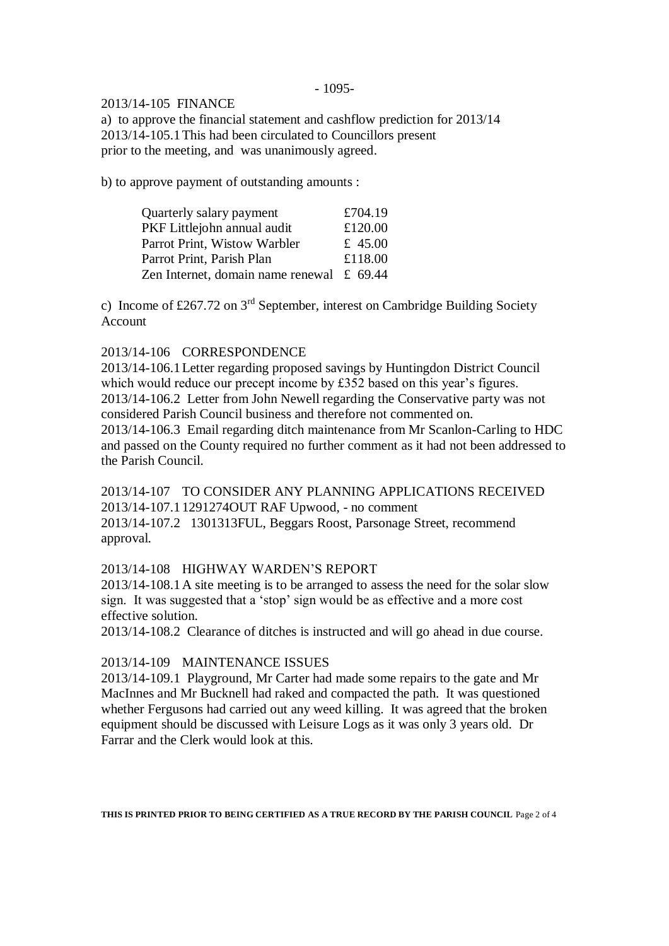### - 1095-

## 2013/14-105 FINANCE

a) to approve the financial statement and cashflow prediction for 2013/14 2013/14-105.1This had been circulated to Councillors present prior to the meeting, and was unanimously agreed.

b) to approve payment of outstanding amounts :

| Quarterly salary payment                      | £704.19 |
|-----------------------------------------------|---------|
| PKF Littlejohn annual audit                   | £120.00 |
| Parrot Print, Wistow Warbler                  | £ 45.00 |
| Parrot Print, Parish Plan                     | £118.00 |
| Zen Internet, domain name renewal $\pm$ 69.44 |         |

c) Income of £267.72 on  $3<sup>rd</sup>$  September, interest on Cambridge Building Society Account

## 2013/14-106 CORRESPONDENCE

2013/14-106.1Letter regarding proposed savings by Huntingdon District Council which would reduce our precept income by £352 based on this year's figures. 2013/14-106.2 Letter from John Newell regarding the Conservative party was not considered Parish Council business and therefore not commented on. 2013/14-106.3 Email regarding ditch maintenance from Mr Scanlon-Carling to HDC and passed on the County required no further comment as it had not been addressed to the Parish Council.

2013/14-107 TO CONSIDER ANY PLANNING APPLICATIONS RECEIVED 2013/14-107.11291274OUT RAF Upwood, - no comment 2013/14-107.2 1301313FUL, Beggars Roost, Parsonage Street, recommend approval.

## 2013/14-108 HIGHWAY WARDEN'S REPORT

2013/14-108.1A site meeting is to be arranged to assess the need for the solar slow sign. It was suggested that a 'stop' sign would be as effective and a more cost effective solution.

2013/14-108.2 Clearance of ditches is instructed and will go ahead in due course.

## 2013/14-109 MAINTENANCE ISSUES

2013/14-109.1 Playground, Mr Carter had made some repairs to the gate and Mr MacInnes and Mr Bucknell had raked and compacted the path. It was questioned whether Fergusons had carried out any weed killing. It was agreed that the broken equipment should be discussed with Leisure Logs as it was only 3 years old. Dr Farrar and the Clerk would look at this.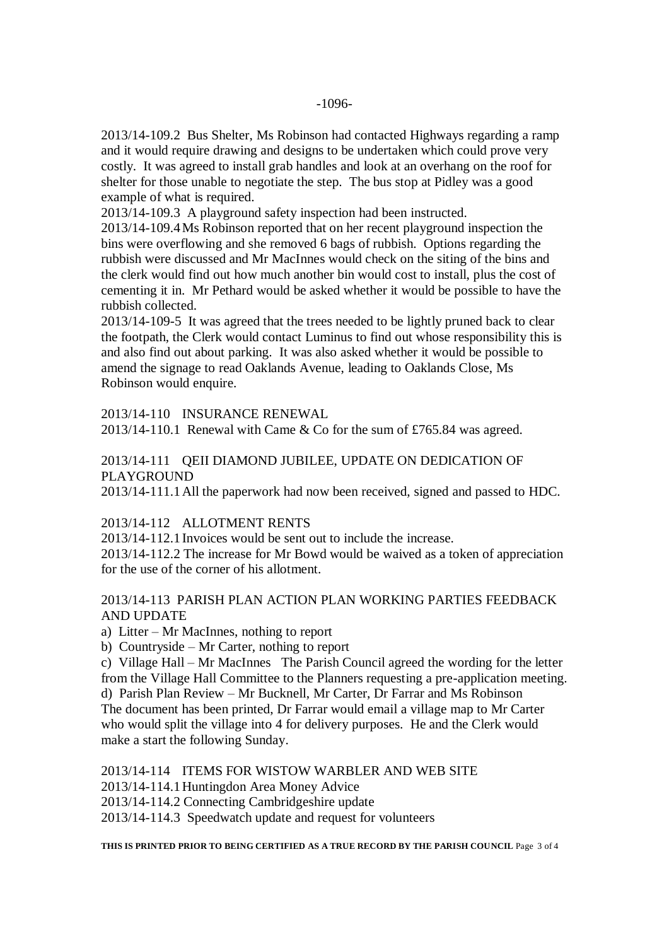2013/14-109.2 Bus Shelter, Ms Robinson had contacted Highways regarding a ramp and it would require drawing and designs to be undertaken which could prove very costly. It was agreed to install grab handles and look at an overhang on the roof for shelter for those unable to negotiate the step. The bus stop at Pidley was a good example of what is required.

2013/14-109.3 A playground safety inspection had been instructed.

2013/14-109.4Ms Robinson reported that on her recent playground inspection the bins were overflowing and she removed 6 bags of rubbish. Options regarding the rubbish were discussed and Mr MacInnes would check on the siting of the bins and the clerk would find out how much another bin would cost to install, plus the cost of cementing it in. Mr Pethard would be asked whether it would be possible to have the rubbish collected.

2013/14-109-5 It was agreed that the trees needed to be lightly pruned back to clear the footpath, the Clerk would contact Luminus to find out whose responsibility this is and also find out about parking. It was also asked whether it would be possible to amend the signage to read Oaklands Avenue, leading to Oaklands Close, Ms Robinson would enquire.

2013/14-110 INSURANCE RENEWAL

2013/14-110.1 Renewal with Came & Co for the sum of £765.84 was agreed.

# 2013/14-111 QEII DIAMOND JUBILEE, UPDATE ON DEDICATION OF PLAYGROUND

2013/14-111.1All the paperwork had now been received, signed and passed to HDC.

#### 2013/14-112 ALLOTMENT RENTS

2013/14-112.1Invoices would be sent out to include the increase.

2013/14-112.2 The increase for Mr Bowd would be waived as a token of appreciation for the use of the corner of his allotment.

# 2013/14-113 PARISH PLAN ACTION PLAN WORKING PARTIES FEEDBACK AND UPDATE

a) Litter – Mr MacInnes, nothing to report

b) Countryside – Mr Carter, nothing to report

c) Village Hall – Mr MacInnes The Parish Council agreed the wording for the letter from the Village Hall Committee to the Planners requesting a pre-application meeting. d) Parish Plan Review – Mr Bucknell, Mr Carter, Dr Farrar and Ms Robinson The document has been printed, Dr Farrar would email a village map to Mr Carter who would split the village into 4 for delivery purposes. He and the Clerk would make a start the following Sunday.

## 2013/14-114 ITEMS FOR WISTOW WARBLER AND WEB SITE

2013/14-114.1Huntingdon Area Money Advice

2013/14-114.2 Connecting Cambridgeshire update

2013/14-114.3 Speedwatch update and request for volunteers

**THIS IS PRINTED PRIOR TO BEING CERTIFIED AS A TRUE RECORD BY THE PARISH COUNCIL** Page 3 of 4